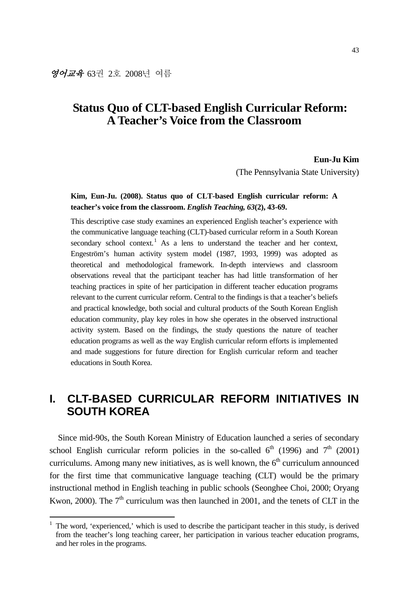l

# **Status Quo of CLT-based English Curricular Reform: A Teacher's Voice from the Classroom**

#### **Eun-Ju Kim**

(The Pennsylvania State University)

### **Kim, Eun-Ju. (2008). Status quo of CLT-based English curricular reform: A teacher's voice from the classroom.** *English Teaching, 63***(2), 43-69.**

This descriptive case study examines an experienced English teacher's experience with the communicative language teaching (CLT)-based curricular reform in a South Korean secondary school context.<sup>1</sup> As a lens to understand the teacher and her context, Engeström's human activity system model (1987, 1993, 1999) was adopted as theoretical and methodological framework. In-depth interviews and classroom observations reveal that the participant teacher has had little transformation of her teaching practices in spite of her participation in different teacher education programs relevant to the current curricular reform. Central to the findings is that a teacher's beliefs and practical knowledge, both social and cultural products of the South Korean English education community, play key roles in how she operates in the observed instructional activity system. Based on the findings, the study questions the nature of teacher education programs as well as the way English curricular reform efforts is implemented and made suggestions for future direction for English curricular reform and teacher educations in South Korea.

# **I. CLT-BASED CURRICULAR REFORM INITIATIVES IN SOUTH KOREA**

Since mid-90s, the South Korean Ministry of Education launched a series of secondary school English curricular reform policies in the so-called  $6<sup>th</sup>$  (1996) and  $7<sup>th</sup>$  (2001) curriculums. Among many new initiatives, as is well known, the  $6<sup>th</sup>$  curriculum announced for the first time that communicative language teaching (CLT) would be the primary instructional method in English teaching in public schools (Seonghee Choi, 2000; Oryang Kwon, 2000). The  $7<sup>th</sup>$  curriculum was then launched in 2001, and the tenets of CLT in the

<sup>1</sup> The word, 'experienced,' which is used to describe the participant teacher in this study, is derived from the teacher's long teaching career, her participation in various teacher education programs, and her roles in the programs.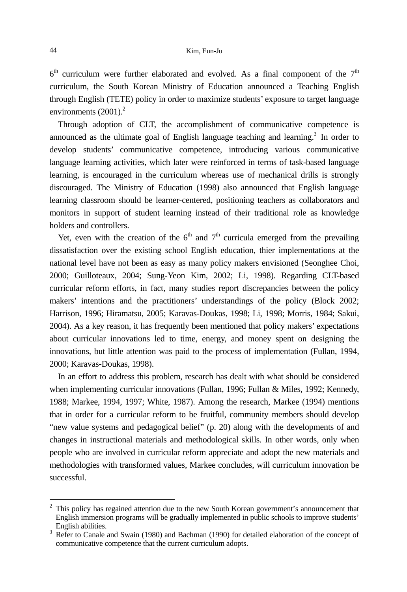$6<sup>th</sup>$  curriculum were further elaborated and evolved. As a final component of the  $7<sup>th</sup>$ curriculum, the South Korean Ministry of Education announced a Teaching English through English (TETE) policy in order to maximize students' exposure to target language environments  $(2001)<sup>2</sup>$ 

Through adoption of CLT, the accomplishment of communicative competence is announced as the ultimate goal of English language teaching and learning.<sup>3</sup> In order to develop students' communicative competence, introducing various communicative language learning activities, which later were reinforced in terms of task-based language learning, is encouraged in the curriculum whereas use of mechanical drills is strongly discouraged. The Ministry of Education (1998) also announced that English language learning classroom should be learner-centered, positioning teachers as collaborators and monitors in support of student learning instead of their traditional role as knowledge holders and controllers.

Yet, even with the creation of the  $6<sup>th</sup>$  and  $7<sup>th</sup>$  curricula emerged from the prevailing dissatisfaction over the existing school English education, thier implementations at the national level have not been as easy as many policy makers envisioned (Seonghee Choi, 2000; Guilloteaux, 2004; Sung-Yeon Kim, 2002; Li, 1998). Regarding CLT-based curricular reform efforts, in fact, many studies report discrepancies between the policy makers' intentions and the practitioners' understandings of the policy (Block 2002; Harrison, 1996; Hiramatsu, 2005; Karavas-Doukas, 1998; Li, 1998; Morris, 1984; Sakui, 2004). As a key reason, it has frequently been mentioned that policy makers' expectations about curricular innovations led to time, energy, and money spent on designing the innovations, but little attention was paid to the process of implementation (Fullan, 1994, 2000; Karavas-Doukas, 1998).

In an effort to address this problem, research has dealt with what should be considered when implementing curricular innovations (Fullan, 1996; Fullan & Miles, 1992; Kennedy, 1988; Markee, 1994, 1997; White, 1987). Among the research, Markee (1994) mentions that in order for a curricular reform to be fruitful, community members should develop "new value systems and pedagogical belief" (p. 20) along with the developments of and changes in instructional materials and methodological skills. In other words, only when people who are involved in curricular reform appreciate and adopt the new materials and methodologies with transformed values, Markee concludes, will curriculum innovation be successful.

l

 $2$  This policy has regained attention due to the new South Korean government's announcement that English immersion programs will be gradually implemented in public schools to improve students' English abilities. 3

<sup>&</sup>lt;sup>3</sup> Refer to Canale and Swain (1980) and Bachman (1990) for detailed elaboration of the concept of communicative competence that the current curriculum adopts.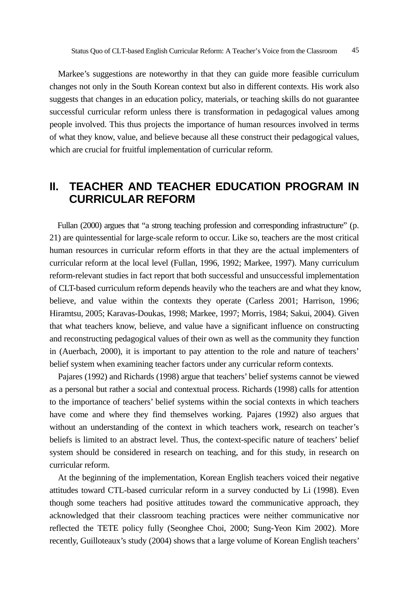Markee's suggestions are noteworthy in that they can guide more feasible curriculum changes not only in the South Korean context but also in different contexts. His work also suggests that changes in an education policy, materials, or teaching skills do not guarantee successful curricular reform unless there is transformation in pedagogical values among people involved. This thus projects the importance of human resources involved in terms of what they know, value, and believe because all these construct their pedagogical values, which are crucial for fruitful implementation of curricular reform.

# **II. TEACHER AND TEACHER EDUCATION PROGRAM IN CURRICULAR REFORM**

Fullan (2000) argues that "a strong teaching profession and corresponding infrastructure" (p. 21) are quintessential for large-scale reform to occur. Like so, teachers are the most critical human resources in curricular reform efforts in that they are the actual implementers of curricular reform at the local level (Fullan, 1996, 1992; Markee, 1997). Many curriculum reform-relevant studies in fact report that both successful and unsuccessful implementation of CLT-based curriculum reform depends heavily who the teachers are and what they know, believe, and value within the contexts they operate (Carless 2001; Harrison, 1996; Hiramtsu, 2005; Karavas-Doukas, 1998; Markee, 1997; Morris, 1984; Sakui, 2004). Given that what teachers know, believe, and value have a significant influence on constructing and reconstructing pedagogical values of their own as well as the community they function in (Auerbach, 2000), it is important to pay attention to the role and nature of teachers' belief system when examining teacher factors under any curricular reform contexts.

Pajares (1992) and Richards (1998) argue that teachers' belief systems cannot be viewed as a personal but rather a social and contextual process. Richards (1998) calls for attention to the importance of teachers' belief systems within the social contexts in which teachers have come and where they find themselves working. Pajares (1992) also argues that without an understanding of the context in which teachers work, research on teacher's beliefs is limited to an abstract level. Thus, the context-specific nature of teachers' belief system should be considered in research on teaching, and for this study, in research on curricular reform.

At the beginning of the implementation, Korean English teachers voiced their negative attitudes toward CTL-based curricular reform in a survey conducted by Li (1998). Even though some teachers had positive attitudes toward the communicative approach, they acknowledged that their classroom teaching practices were neither communicative nor reflected the TETE policy fully (Seonghee Choi, 2000; Sung-Yeon Kim 2002). More recently, Guilloteaux's study (2004) shows that a large volume of Korean English teachers'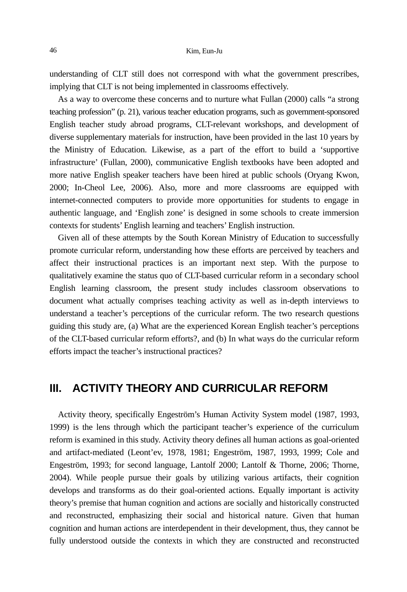understanding of CLT still does not correspond with what the government prescribes, implying that CLT is not being implemented in classrooms effectively.

As a way to overcome these concerns and to nurture what Fullan (2000) calls "a strong teaching profession" (p. 21), various teacher education programs, such as government-sponsored English teacher study abroad programs, CLT-relevant workshops, and development of diverse supplementary materials for instruction, have been provided in the last 10 years by the Ministry of Education. Likewise, as a part of the effort to build a 'supportive infrastructure' (Fullan, 2000), communicative English textbooks have been adopted and more native English speaker teachers have been hired at public schools (Oryang Kwon, 2000; In-Cheol Lee, 2006). Also, more and more classrooms are equipped with internet-connected computers to provide more opportunities for students to engage in authentic language, and 'English zone' is designed in some schools to create immersion contexts for students' English learning and teachers' English instruction.

Given all of these attempts by the South Korean Ministry of Education to successfully promote curricular reform, understanding how these efforts are perceived by teachers and affect their instructional practices is an important next step. With the purpose to qualitatively examine the status quo of CLT-based curricular reform in a secondary school English learning classroom, the present study includes classroom observations to document what actually comprises teaching activity as well as in-depth interviews to understand a teacher's perceptions of the curricular reform. The two research questions guiding this study are, (a) What are the experienced Korean English teacher's perceptions of the CLT-based curricular reform efforts?, and (b) In what ways do the curricular reform efforts impact the teacher's instructional practices?

## **III. ACTIVITY THEORY AND CURRICULAR REFORM**

Activity theory, specifically Engeström's Human Activity System model (1987, 1993, 1999) is the lens through which the participant teacher's experience of the curriculum reform is examined in this study. Activity theory defines all human actions as goal-oriented and artifact-mediated (Leont'ev, 1978, 1981; Engeström, 1987, 1993, 1999; Cole and Engeström, 1993; for second language, Lantolf 2000; Lantolf & Thorne, 2006; Thorne, 2004). While people pursue their goals by utilizing various artifacts, their cognition develops and transforms as do their goal-oriented actions. Equally important is activity theory's premise that human cognition and actions are socially and historically constructed and reconstructed, emphasizing their social and historical nature. Given that human cognition and human actions are interdependent in their development, thus, they cannot be fully understood outside the contexts in which they are constructed and reconstructed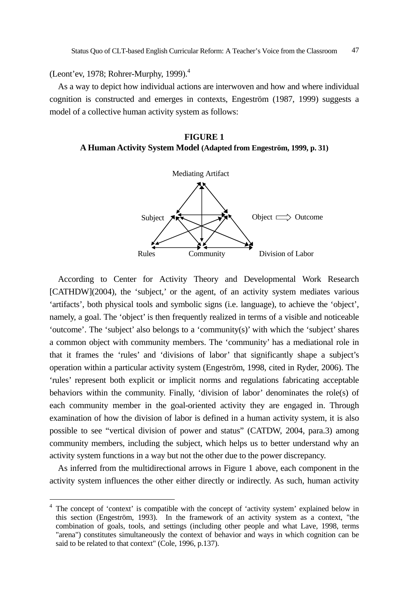(Leont'ev, 1978; Rohrer-Murphy, 1999).<sup>4</sup>

l

As a way to depict how individual actions are interwoven and how and where individual cognition is constructed and emerges in contexts, Engeström (1987, 1999) suggests a model of a collective human activity system as follows:





According to Center for Activity Theory and Developmental Work Research [CATHDW](2004), the 'subject,' or the agent, of an activity system mediates various 'artifacts', both physical tools and symbolic signs (i.e. language), to achieve the 'object', namely, a goal. The 'object' is then frequently realized in terms of a visible and noticeable 'outcome'. The 'subject' also belongs to a 'community(s)' with which the 'subject' shares a common object with community members. The 'community' has a mediational role in that it frames the 'rules' and 'divisions of labor' that significantly shape a subject's operation within a particular activity system (Engeström, 1998, cited in Ryder, 2006). The 'rules' represent both explicit or implicit norms and regulations fabricating acceptable behaviors within the community. Finally, 'division of labor' denominates the role(s) of each community member in the goal-oriented activity they are engaged in. Through examination of how the division of labor is defined in a human activity system, it is also possible to see "vertical division of power and status" (CATDW, 2004, para.3) among community members, including the subject, which helps us to better understand why an activity system functions in a way but not the other due to the power discrepancy.

As inferred from the multidirectional arrows in Figure 1 above, each component in the activity system influences the other either directly or indirectly. As such, human activity

<sup>&</sup>lt;sup>4</sup> The concept of 'context' is compatible with the concept of 'activity system' explained below in this section (Engeström, 1993). In the framework of an activity system as a context, "the combination of goals, tools, and settings (including other people and what Lave, 1998, terms "arena") constitutes simultaneously the context of behavior and ways in which cognition can be said to be related to that context" (Cole, 1996, p.137).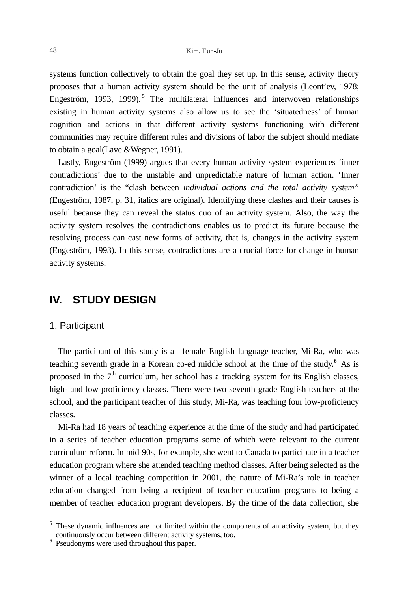systems function collectively to obtain the goal they set up. In this sense, activity theory proposes that a human activity system should be the unit of analysis (Leont'ev, 1978; Engeström, 1993, 1999).<sup>5</sup> The multilateral influences and interwoven relationships existing in human activity systems also allow us to see the 'situatedness' of human cognition and actions in that different activity systems functioning with different communities may require different rules and divisions of labor the subject should mediate to obtain a goal(Lave &Wegner, 1991).

Lastly, Engeström (1999) argues that every human activity system experiences 'inner contradictions' due to the unstable and unpredictable nature of human action. 'Inner contradiction' is the "clash between *individual actions and the total activity system"* (Engeström, 1987, p. 31, italics are original). Identifying these clashes and their causes is useful because they can reveal the status quo of an activity system. Also, the way the activity system resolves the contradictions enables us to predict its future because the resolving process can cast new forms of activity, that is, changes in the activity system (Engeström, 1993). In this sense, contradictions are a crucial force for change in human activity systems.

## **IV. STUDY DESIGN**

### 1. Participant

l

The participant of this study is a female English language teacher, Mi-Ra, who was teaching seventh grade in a Korean co-ed middle school at the time of the study.**<sup>6</sup>** As is proposed in the  $7<sup>th</sup>$  curriculum, her school has a tracking system for its English classes, high- and low-proficiency classes. There were two seventh grade English teachers at the school, and the participant teacher of this study, Mi-Ra, was teaching four low-proficiency classes.

Mi-Ra had 18 years of teaching experience at the time of the study and had participated in a series of teacher education programs some of which were relevant to the current curriculum reform. In mid-90s, for example, she went to Canada to participate in a teacher education program where she attended teaching method classes. After being selected as the winner of a local teaching competition in 2001, the nature of Mi-Ra's role in teacher education changed from being a recipient of teacher education programs to being a member of teacher education program developers. By the time of the data collection, she

<sup>&</sup>lt;sup>5</sup> These dynamic influences are not limited within the components of an activity system, but they continuously occur between different activity systems, too.

<sup>&</sup>lt;sup>6</sup> Pseudonyms were used throughout this paper.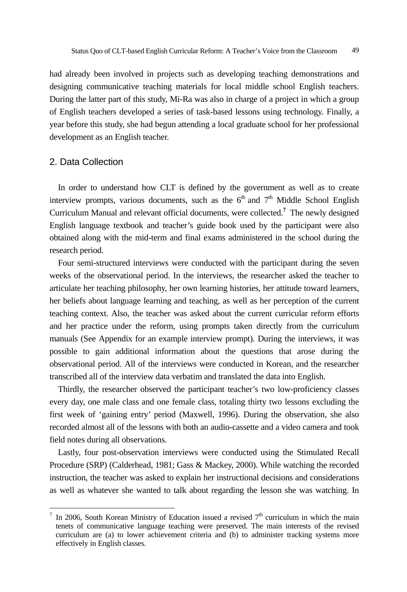had already been involved in projects such as developing teaching demonstrations and designing communicative teaching materials for local middle school English teachers. During the latter part of this study, Mi-Ra was also in charge of a project in which a group of English teachers developed a series of task-based lessons using technology. Finally, a year before this study, she had begun attending a local graduate school for her professional development as an English teacher.

### 2. Data Collection

-

In order to understand how CLT is defined by the government as well as to create interview prompts, various documents, such as the  $6<sup>th</sup>$  and  $7<sup>th</sup>$  Middle School English Curriculum Manual and relevant official documents, were collected.**<sup>7</sup>** The newly designed English language textbook and teacher's guide book used by the participant were also obtained along with the mid-term and final exams administered in the school during the research period.

Four semi-structured interviews were conducted with the participant during the seven weeks of the observational period. In the interviews, the researcher asked the teacher to articulate her teaching philosophy, her own learning histories, her attitude toward learners, her beliefs about language learning and teaching, as well as her perception of the current teaching context. Also, the teacher was asked about the current curricular reform efforts and her practice under the reform, using prompts taken directly from the curriculum manuals (See Appendix for an example interview prompt). During the interviews, it was possible to gain additional information about the questions that arose during the observational period. All of the interviews were conducted in Korean, and the researcher transcribed all of the interview data verbatim and translated the data into English.

Thirdly, the researcher observed the participant teacher's two low-proficiency classes every day, one male class and one female class, totaling thirty two lessons excluding the first week of 'gaining entry' period (Maxwell, 1996). During the observation, she also recorded almost all of the lessons with both an audio-cassette and a video camera and took field notes during all observations.

Lastly, four post-observation interviews were conducted using the Stimulated Recall Procedure (SRP) (Calderhead, 1981; Gass & Mackey, 2000). While watching the recorded instruction, the teacher was asked to explain her instructional decisions and considerations as well as whatever she wanted to talk about regarding the lesson she was watching. In

<sup>&</sup>lt;sup>7</sup> In 2006, South Korean Ministry of Education issued a revised  $7<sup>th</sup>$  curriculum in which the main tenets of communicative language teaching were preserved. The main interests of the revised curriculum are (a) to lower achievement criteria and (b) to administer tracking systems more effectively in English classes.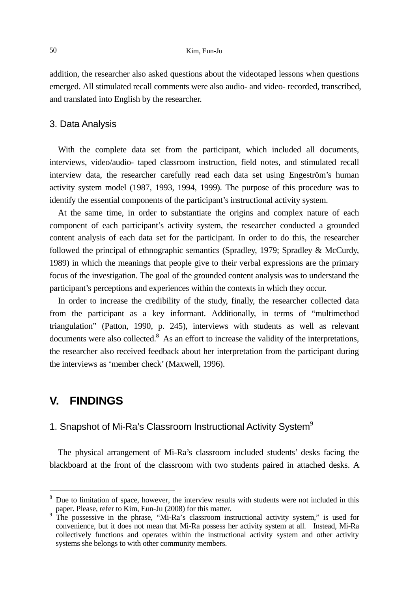addition, the researcher also asked questions about the videotaped lessons when questions emerged. All stimulated recall comments were also audio- and video- recorded, transcribed, and translated into English by the researcher.

### 3. Data Analysis

With the complete data set from the participant, which included all documents, interviews, video/audio- taped classroom instruction, field notes, and stimulated recall interview data, the researcher carefully read each data set using Engeström's human activity system model (1987, 1993, 1994, 1999). The purpose of this procedure was to identify the essential components of the participant's instructional activity system.

At the same time, in order to substantiate the origins and complex nature of each component of each participant's activity system, the researcher conducted a grounded content analysis of each data set for the participant. In order to do this, the researcher followed the principal of ethnographic semantics (Spradley, 1979; Spradley & McCurdy, 1989) in which the meanings that people give to their verbal expressions are the primary focus of the investigation. The goal of the grounded content analysis was to understand the participant's perceptions and experiences within the contexts in which they occur.

In order to increase the credibility of the study, finally, the researcher collected data from the participant as a key informant. Additionally, in terms of "multimethod triangulation" (Patton, 1990, p. 245), interviews with students as well as relevant documents were also collected.**<sup>8</sup>** As an effort to increase the validity of the interpretations, the researcher also received feedback about her interpretation from the participant during the interviews as 'member check' (Maxwell, 1996).

## **V. FINDINGS**

l

## 1. Snapshot of Mi-Ra's Classroom Instructional Activity System $9$

The physical arrangement of Mi-Ra's classroom included students' desks facing the blackboard at the front of the classroom with two students paired in attached desks. A

<sup>&</sup>lt;sup>8</sup> Due to limitation of space, however, the interview results with students were not included in this

paper. Please, refer to Kim, Eun-Ju (2008) for this matter.<br><sup>9</sup> The possessive in the phrase, "Mi-Ra's classroom instructional activity system," is used for convenience, but it does not mean that Mi-Ra possess her activity system at all. Instead, Mi-Ra collectively functions and operates within the instructional activity system and other activity systems she belongs to with other community members.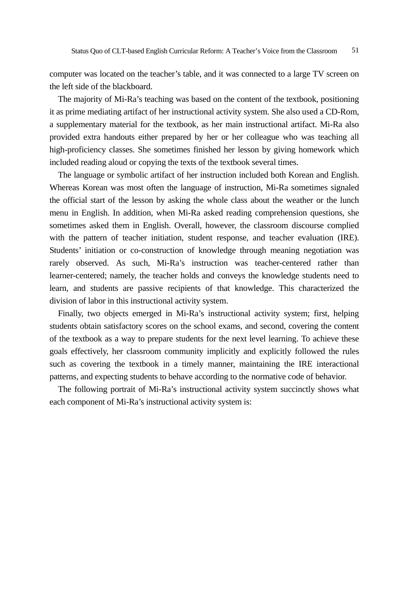computer was located on the teacher's table, and it was connected to a large TV screen on the left side of the blackboard.

The majority of Mi-Ra's teaching was based on the content of the textbook, positioning it as prime mediating artifact of her instructional activity system. She also used a CD-Rom, a supplementary material for the textbook, as her main instructional artifact. Mi-Ra also provided extra handouts either prepared by her or her colleague who was teaching all high-proficiency classes. She sometimes finished her lesson by giving homework which included reading aloud or copying the texts of the textbook several times.

The language or symbolic artifact of her instruction included both Korean and English. Whereas Korean was most often the language of instruction, Mi-Ra sometimes signaled the official start of the lesson by asking the whole class about the weather or the lunch menu in English. In addition, when Mi-Ra asked reading comprehension questions, she sometimes asked them in English. Overall, however, the classroom discourse complied with the pattern of teacher initiation, student response, and teacher evaluation (IRE). Students' initiation or co-construction of knowledge through meaning negotiation was rarely observed. As such, Mi-Ra's instruction was teacher-centered rather than learner-centered; namely, the teacher holds and conveys the knowledge students need to learn, and students are passive recipients of that knowledge. This characterized the division of labor in this instructional activity system.

Finally, two objects emerged in Mi-Ra's instructional activity system; first, helping students obtain satisfactory scores on the school exams, and second, covering the content of the textbook as a way to prepare students for the next level learning. To achieve these goals effectively, her classroom community implicitly and explicitly followed the rules such as covering the textbook in a timely manner, maintaining the IRE interactional patterns, and expecting students to behave according to the normative code of behavior.

The following portrait of Mi-Ra's instructional activity system succinctly shows what each component of Mi-Ra's instructional activity system is: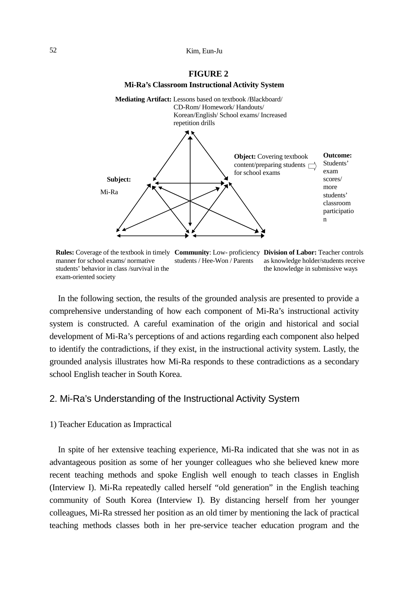52 Kim, Eun-Ju

#### **FIGURE 2**

#### **Mi-Ra's Classroom Instructional Activity System**



Rules: Coverage of the textbook in timely Community: Low- proficiency Division of Labor: Teacher controls students / Hee-Won / Parents manner for school exams/ normative students' behavior in class /survival in the exam-oriented society as knowledge holder/students receive the knowledge in submissive ways

In the following section, the results of the grounded analysis are presented to provide a comprehensive understanding of how each component of Mi-Ra's instructional activity system is constructed. A careful examination of the origin and historical and social development of Mi-Ra's perceptions of and actions regarding each component also helped to identify the contradictions, if they exist, in the instructional activity system. Lastly, the grounded analysis illustrates how Mi-Ra responds to these contradictions as a secondary school English teacher in South Korea.

### 2. Mi-Ra's Understanding of the Instructional Activity System

#### 1) Teacher Education as Impractical

In spite of her extensive teaching experience, Mi-Ra indicated that she was not in as advantageous position as some of her younger colleagues who she believed knew more recent teaching methods and spoke English well enough to teach classes in English (Interview I). Mi-Ra repeatedly called herself "old generation" in the English teaching community of South Korea (Interview I). By distancing herself from her younger colleagues, Mi-Ra stressed her position as an old timer by mentioning the lack of practical teaching methods classes both in her pre-service teacher education program and the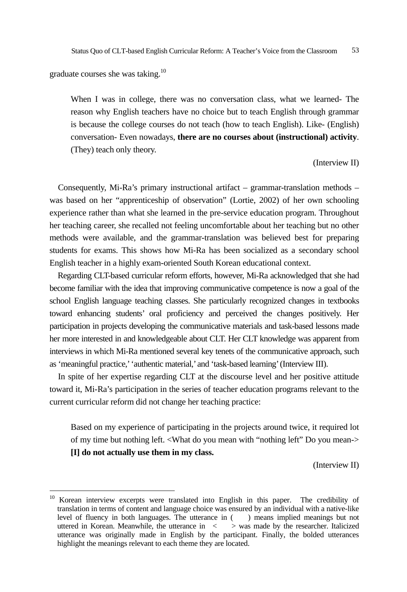graduate courses she was taking.10

l

When I was in college, there was no conversation class, what we learned- The reason why English teachers have no choice but to teach English through grammar is because the college courses do not teach (how to teach English). Like- (English) conversation- Even nowadays, **there are no courses about (instructional) activity**. (They) teach only theory.

### (Interview II)

Consequently, Mi-Ra's primary instructional artifact – grammar-translation methods – was based on her "apprenticeship of observation" (Lortie, 2002) of her own schooling experience rather than what she learned in the pre-service education program. Throughout her teaching career, she recalled not feeling uncomfortable about her teaching but no other methods were available, and the grammar-translation was believed best for preparing students for exams. This shows how Mi-Ra has been socialized as a secondary school English teacher in a highly exam-oriented South Korean educational context.

Regarding CLT-based curricular reform efforts, however, Mi-Ra acknowledged that she had become familiar with the idea that improving communicative competence is now a goal of the school English language teaching classes. She particularly recognized changes in textbooks toward enhancing students' oral proficiency and perceived the changes positively. Her participation in projects developing the communicative materials and task-based lessons made her more interested in and knowledgeable about CLT. Her CLT knowledge was apparent from interviews in which Mi-Ra mentioned several key tenets of the communicative approach, such as 'meaningful practice,' 'authentic material,' and 'task-based learning' (Interview III).

In spite of her expertise regarding CLT at the discourse level and her positive attitude toward it, Mi-Ra's participation in the series of teacher education programs relevant to the current curricular reform did not change her teaching practice:

Based on my experience of participating in the projects around twice, it required lot of my time but nothing left. <What do you mean with "nothing left" Do you mean-> **[I] do not actually use them in my class.** 

(Interview II)

<sup>&</sup>lt;sup>10</sup> Korean interview excerpts were translated into English in this paper. The credibility of translation in terms of content and language choice was ensured by an individual with a native-like level of fluency in both languages. The utterance in ( ) means implied meanings but not uttered in Korean. Meanwhile, the utterance in < > was made by the researcher. Italicized utterance was originally made in English by the participant. Finally, the bolded utterances highlight the meanings relevant to each theme they are located.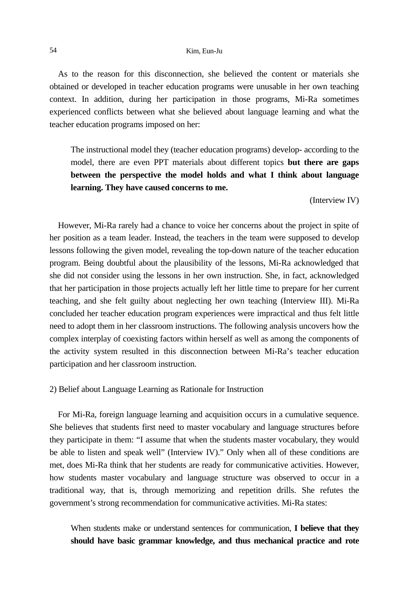### 54 Kim, Eun-Ju

As to the reason for this disconnection, she believed the content or materials she obtained or developed in teacher education programs were unusable in her own teaching context. In addition, during her participation in those programs, Mi-Ra sometimes experienced conflicts between what she believed about language learning and what the teacher education programs imposed on her:

The instructional model they (teacher education programs) develop- according to the model, there are even PPT materials about different topics **but there are gaps between the perspective the model holds and what I think about language learning. They have caused concerns to me.** 

#### (Interview IV)

However, Mi-Ra rarely had a chance to voice her concerns about the project in spite of her position as a team leader. Instead, the teachers in the team were supposed to develop lessons following the given model, revealing the top-down nature of the teacher education program. Being doubtful about the plausibility of the lessons, Mi-Ra acknowledged that she did not consider using the lessons in her own instruction. She, in fact, acknowledged that her participation in those projects actually left her little time to prepare for her current teaching, and she felt guilty about neglecting her own teaching (Interview III). Mi-Ra concluded her teacher education program experiences were impractical and thus felt little need to adopt them in her classroom instructions. The following analysis uncovers how the complex interplay of coexisting factors within herself as well as among the components of the activity system resulted in this disconnection between Mi-Ra's teacher education participation and her classroom instruction.

### 2) Belief about Language Learning as Rationale for Instruction

For Mi-Ra, foreign language learning and acquisition occurs in a cumulative sequence. She believes that students first need to master vocabulary and language structures before they participate in them: "I assume that when the students master vocabulary, they would be able to listen and speak well" (Interview IV)." Only when all of these conditions are met, does Mi-Ra think that her students are ready for communicative activities. However, how students master vocabulary and language structure was observed to occur in a traditional way, that is, through memorizing and repetition drills. She refutes the government's strong recommendation for communicative activities. Mi-Ra states:

When students make or understand sentences for communication, **I believe that they should have basic grammar knowledge, and thus mechanical practice and rote**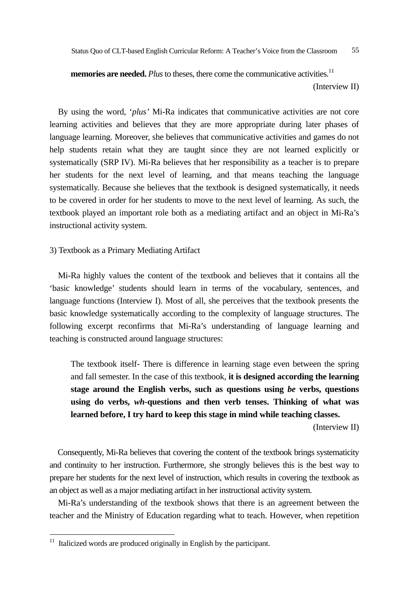**memories are needed.** Plus to theses, there come the communicative activities.<sup>11</sup>

(Interview II)

By using the word, '*plus'* Mi-Ra indicates that communicative activities are not core learning activities and believes that they are more appropriate during later phases of language learning. Moreover, she believes that communicative activities and games do not help students retain what they are taught since they are not learned explicitly or systematically (SRP IV). Mi-Ra believes that her responsibility as a teacher is to prepare her students for the next level of learning, and that means teaching the language systematically. Because she believes that the textbook is designed systematically, it needs to be covered in order for her students to move to the next level of learning. As such, the textbook played an important role both as a mediating artifact and an object in Mi-Ra's instructional activity system.

3) Textbook as a Primary Mediating Artifact

Mi-Ra highly values the content of the textbook and believes that it contains all the 'basic knowledge' students should learn in terms of the vocabulary, sentences, and language functions (Interview I). Most of all, she perceives that the textbook presents the basic knowledge systematically according to the complexity of language structures. The following excerpt reconfirms that Mi-Ra's understanding of language learning and teaching is constructed around language structures:

The textbook itself- There is difference in learning stage even between the spring and fall semester. In the case of this textbook, **it is designed according the learning stage around the English verbs, such as questions using** *be* **verbs, questions using do verbs,** *wh-***questions and then verb tenses. Thinking of what was learned before, I try hard to keep this stage in mind while teaching classes.** 

(Interview II)

Consequently, Mi-Ra believes that covering the content of the textbook brings systematicity and continuity to her instruction. Furthermore, she strongly believes this is the best way to prepare her students for the next level of instruction, which results in covering the textbook as an object as well as a major mediating artifact in her instructional activity system.

Mi-Ra's understanding of the textbook shows that there is an agreement between the teacher and the Ministry of Education regarding what to teach. However, when repetition

-

 $11$  Italicized words are produced originally in English by the participant.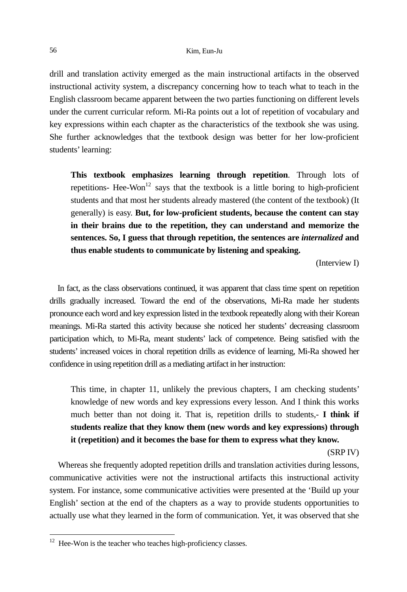drill and translation activity emerged as the main instructional artifacts in the observed instructional activity system, a discrepancy concerning how to teach what to teach in the English classroom became apparent between the two parties functioning on different levels under the current curricular reform. Mi-Ra points out a lot of repetition of vocabulary and key expressions within each chapter as the characteristics of the textbook she was using. She further acknowledges that the textbook design was better for her low-proficient students' learning:

**This textbook emphasizes learning through repetition**. Through lots of repetitions- Hee-Won<sup>12</sup> says that the textbook is a little boring to high-proficient students and that most her students already mastered (the content of the textbook) (It generally) is easy. **But, for low-proficient students, because the content can stay in their brains due to the repetition, they can understand and memorize the sentences. So, I guess that through repetition, the sentences are** *internalized* **and thus enable students to communicate by listening and speaking.** 

(Interview I)

In fact, as the class observations continued, it was apparent that class time spent on repetition drills gradually increased. Toward the end of the observations, Mi-Ra made her students pronounce each word and key expression listed in the textbook repeatedly along with their Korean meanings. Mi-Ra started this activity because she noticed her students' decreasing classroom participation which, to Mi-Ra, meant students' lack of competence. Being satisfied with the students' increased voices in choral repetition drills as evidence of learning, Mi-Ra showed her confidence in using repetition drill as a mediating artifact in her instruction:

This time, in chapter 11, unlikely the previous chapters, I am checking students' knowledge of new words and key expressions every lesson. And I think this works much better than not doing it. That is, repetition drills to students,- **I think if students realize that they know them (new words and key expressions) through it (repetition) and it becomes the base for them to express what they know.**

(SRP IV)

Whereas she frequently adopted repetition drills and translation activities during lessons, communicative activities were not the instructional artifacts this instructional activity system. For instance, some communicative activities were presented at the 'Build up your English' section at the end of the chapters as a way to provide students opportunities to actually use what they learned in the form of communication. Yet, it was observed that she

-

 $12$  Hee-Won is the teacher who teaches high-proficiency classes.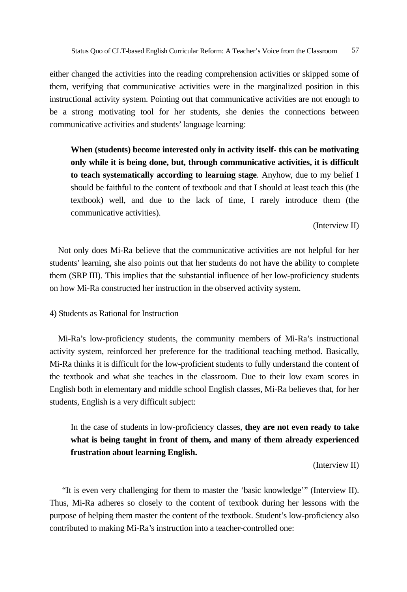either changed the activities into the reading comprehension activities or skipped some of them, verifying that communicative activities were in the marginalized position in this instructional activity system. Pointing out that communicative activities are not enough to be a strong motivating tool for her students, she denies the connections between communicative activities and students' language learning:

**When (students) become interested only in activity itself- this can be motivating only while it is being done, but, through communicative activities, it is difficult to teach systematically according to learning stage**. Anyhow, due to my belief I should be faithful to the content of textbook and that I should at least teach this (the textbook) well, and due to the lack of time, I rarely introduce them (the communicative activities).

(Interview II)

Not only does Mi-Ra believe that the communicative activities are not helpful for her students' learning, she also points out that her students do not have the ability to complete them (SRP III). This implies that the substantial influence of her low-proficiency students on how Mi-Ra constructed her instruction in the observed activity system.

4) Students as Rational for Instruction

Mi-Ra's low-proficiency students, the community members of Mi-Ra's instructional activity system, reinforced her preference for the traditional teaching method. Basically, Mi-Ra thinks it is difficult for the low-proficient students to fully understand the content of the textbook and what she teaches in the classroom. Due to their low exam scores in English both in elementary and middle school English classes, Mi-Ra believes that, for her students, English is a very difficult subject:

In the case of students in low-proficiency classes, **they are not even ready to take what is being taught in front of them, and many of them already experienced frustration about learning English.** 

(Interview II)

 "It is even very challenging for them to master the 'basic knowledge'" (Interview II). Thus, Mi-Ra adheres so closely to the content of textbook during her lessons with the purpose of helping them master the content of the textbook. Student's low-proficiency also contributed to making Mi-Ra's instruction into a teacher-controlled one: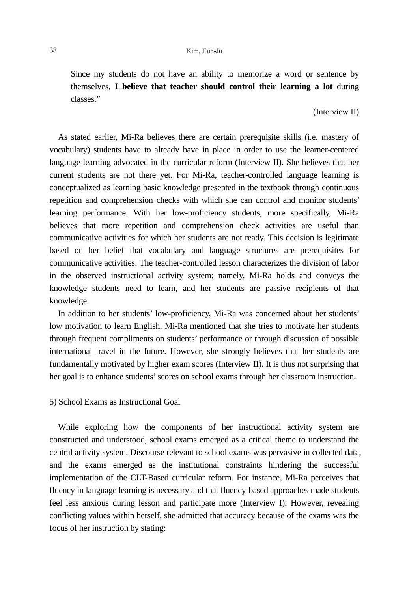Since my students do not have an ability to memorize a word or sentence by themselves, **I believe that teacher should control their learning a lot** during classes."

#### (Interview II)

As stated earlier, Mi-Ra believes there are certain prerequisite skills (i.e. mastery of vocabulary) students have to already have in place in order to use the learner-centered language learning advocated in the curricular reform (Interview II). She believes that her current students are not there yet. For Mi-Ra, teacher-controlled language learning is conceptualized as learning basic knowledge presented in the textbook through continuous repetition and comprehension checks with which she can control and monitor students' learning performance. With her low-proficiency students, more specifically, Mi-Ra believes that more repetition and comprehension check activities are useful than communicative activities for which her students are not ready. This decision is legitimate based on her belief that vocabulary and language structures are prerequisites for communicative activities. The teacher-controlled lesson characterizes the division of labor in the observed instructional activity system; namely, Mi-Ra holds and conveys the knowledge students need to learn, and her students are passive recipients of that knowledge.

In addition to her students' low-proficiency, Mi-Ra was concerned about her students' low motivation to learn English. Mi-Ra mentioned that she tries to motivate her students through frequent compliments on students' performance or through discussion of possible international travel in the future. However, she strongly believes that her students are fundamentally motivated by higher exam scores (Interview II). It is thus not surprising that her goal is to enhance students' scores on school exams through her classroom instruction.

#### 5) School Exams as Instructional Goal

While exploring how the components of her instructional activity system are constructed and understood, school exams emerged as a critical theme to understand the central activity system. Discourse relevant to school exams was pervasive in collected data, and the exams emerged as the institutional constraints hindering the successful implementation of the CLT-Based curricular reform. For instance, Mi-Ra perceives that fluency in language learning is necessary and that fluency-based approaches made students feel less anxious during lesson and participate more (Interview I). However, revealing conflicting values within herself, she admitted that accuracy because of the exams was the focus of her instruction by stating: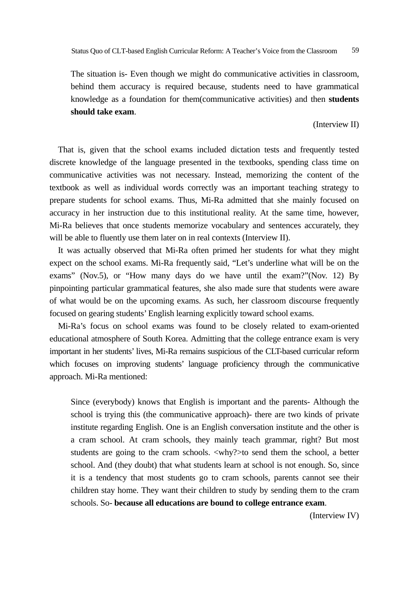The situation is- Even though we might do communicative activities in classroom, behind them accuracy is required because, students need to have grammatical knowledge as a foundation for them(communicative activities) and then **students should take exam**.

#### (Interview II)

That is, given that the school exams included dictation tests and frequently tested discrete knowledge of the language presented in the textbooks, spending class time on communicative activities was not necessary. Instead, memorizing the content of the textbook as well as individual words correctly was an important teaching strategy to prepare students for school exams. Thus, Mi-Ra admitted that she mainly focused on accuracy in her instruction due to this institutional reality. At the same time, however, Mi-Ra believes that once students memorize vocabulary and sentences accurately, they will be able to fluently use them later on in real contexts (Interview II).

It was actually observed that Mi-Ra often primed her students for what they might expect on the school exams. Mi-Ra frequently said, "Let's underline what will be on the exams" (Nov.5), or "How many days do we have until the exam?"(Nov. 12) By pinpointing particular grammatical features, she also made sure that students were aware of what would be on the upcoming exams. As such, her classroom discourse frequently focused on gearing students' English learning explicitly toward school exams.

Mi-Ra's focus on school exams was found to be closely related to exam-oriented educational atmosphere of South Korea. Admitting that the college entrance exam is very important in her students' lives, Mi-Ra remains suspicious of the CLT-based curricular reform which focuses on improving students' language proficiency through the communicative approach. Mi-Ra mentioned:

Since (everybody) knows that English is important and the parents- Although the school is trying this (the communicative approach)- there are two kinds of private institute regarding English. One is an English conversation institute and the other is a cram school. At cram schools, they mainly teach grammar, right? But most students are going to the cram schools. <why?>to send them the school, a better school. And (they doubt) that what students learn at school is not enough. So, since it is a tendency that most students go to cram schools, parents cannot see their children stay home. They want their children to study by sending them to the cram schools. So- **because all educations are bound to college entrance exam**.

(Interview IV)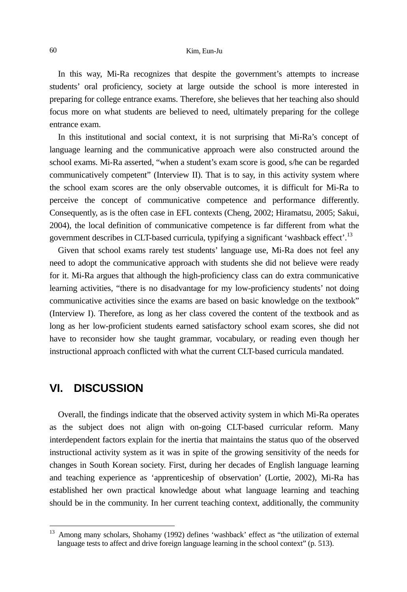### 60 Kim, Eun-Ju

In this way, Mi-Ra recognizes that despite the government's attempts to increase students' oral proficiency, society at large outside the school is more interested in preparing for college entrance exams. Therefore, she believes that her teaching also should focus more on what students are believed to need, ultimately preparing for the college entrance exam.

In this institutional and social context, it is not surprising that Mi-Ra's concept of language learning and the communicative approach were also constructed around the school exams. Mi-Ra asserted, "when a student's exam score is good, s/he can be regarded communicatively competent" (Interview II). That is to say, in this activity system where the school exam scores are the only observable outcomes, it is difficult for Mi-Ra to perceive the concept of communicative competence and performance differently. Consequently, as is the often case in EFL contexts (Cheng, 2002; Hiramatsu, 2005; Sakui, 2004), the local definition of communicative competence is far different from what the government describes in CLT-based curricula, typifying a significant 'washback effect'.13

Given that school exams rarely test students' language use, Mi-Ra does not feel any need to adopt the communicative approach with students she did not believe were ready for it. Mi-Ra argues that although the high-proficiency class can do extra communicative learning activities, "there is no disadvantage for my low-proficiency students' not doing communicative activities since the exams are based on basic knowledge on the textbook" (Interview I). Therefore, as long as her class covered the content of the textbook and as long as her low-proficient students earned satisfactory school exam scores, she did not have to reconsider how she taught grammar, vocabulary, or reading even though her instructional approach conflicted with what the current CLT-based curricula mandated.

## **VI. DISCUSSION**

l

Overall, the findings indicate that the observed activity system in which Mi-Ra operates as the subject does not align with on-going CLT-based curricular reform. Many interdependent factors explain for the inertia that maintains the status quo of the observed instructional activity system as it was in spite of the growing sensitivity of the needs for changes in South Korean society. First, during her decades of English language learning and teaching experience as 'apprenticeship of observation' (Lortie, 2002), Mi-Ra has established her own practical knowledge about what language learning and teaching should be in the community. In her current teaching context, additionally, the community

<sup>&</sup>lt;sup>13</sup> Among many scholars, Shohamy (1992) defines 'washback' effect as "the utilization of external language tests to affect and drive foreign language learning in the school context" (p. 513).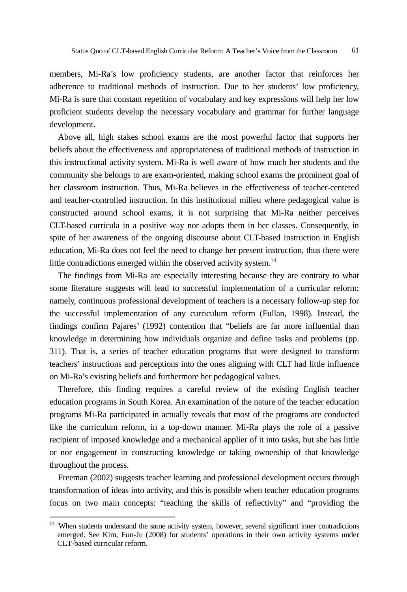members, Mi-Ra's low proficiency students, are another factor that reinforces her adherence to traditional methods of instruction. Due to her students' low proficiency, Mi-Ra is sure that constant repetition of vocabulary and key expressions will help her low proficient students develop the necessary vocabulary and grammar for further language development.

Above all, high stakes school exams are the most powerful factor that supports her beliefs about the effectiveness and appropriateness of traditional methods of instruction in this instructional activity system. Mi-Ra is well aware of how much her students and the community she belongs to are exam-oriented, making school exams the prominent goal of her classroom instruction. Thus, Mi-Ra believes in the effectiveness of teacher-centered and teacher-controlled instruction. In this institutional milieu where pedagogical value is constructed around school exams, it is not surprising that Mi-Ra neither perceives CLT-based curricula in a positive way nor adopts them in her classes. Consequently, in spite of her awareness of the ongoing discourse about CLT-based instruction in English education, Mi-Ra does not feel the need to change her present instruction, thus there were little contradictions emerged within the observed activity system.<sup>14</sup>

The findings from Mi-Ra are especially interesting because they are contrary to what some literature suggests will lead to successful implementation of a curricular reform; namely, continuous professional development of teachers is a necessary follow-up step for the successful implementation of any curriculum reform (Fullan, 1998). Instead, the findings confirm Pajares' (1992) contention that "beliefs are far more influential than knowledge in determining how individuals organize and define tasks and problems (pp. 311). That is, a series of teacher education programs that were designed to transform teachers' instructions and perceptions into the ones aligning with CLT had little influence on Mi-Ra's existing beliefs and furthermore her pedagogical values.

Therefore, this finding requires a careful review of the existing English teacher education programs in South Korea. An examination of the nature of the teacher education programs Mi-Ra participated in actually reveals that most of the programs are conducted like the curriculum reform, in a top-down manner. Mi-Ra plays the role of a passive recipient of imposed knowledge and a mechanical applier of it into tasks, but she has little or nor engagement in constructing knowledge or taking ownership of that knowledge throughout the process.

Freeman (2002) suggests teacher learning and professional development occurs through transformation of ideas into activity, and this is possible when teacher education programs focus on two main concepts: "teaching the skills of reflectivity" and "providing the

l

<sup>&</sup>lt;sup>14</sup> When students understand the same activity system, however, several significant inner contradictions emerged. See Kim, Eun-Ju (2008) for students' operations in their own activity systems under CLT-based curricular reform.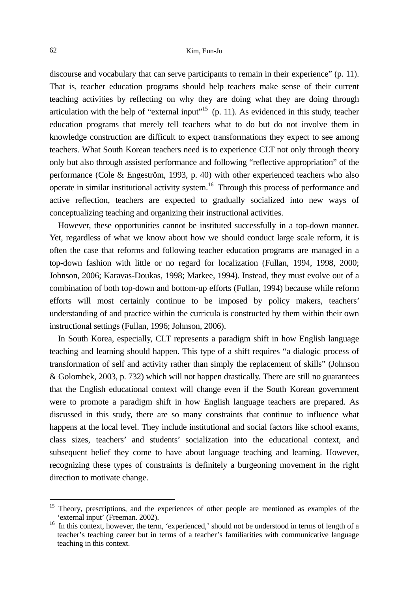discourse and vocabulary that can serve participants to remain in their experience" (p. 11). That is, teacher education programs should help teachers make sense of their current teaching activities by reflecting on why they are doing what they are doing through articulation with the help of "external input"<sup>15</sup> (p. 11). As evidenced in this study, teacher education programs that merely tell teachers what to do but do not involve them in knowledge construction are difficult to expect transformations they expect to see among teachers. What South Korean teachers need is to experience CLT not only through theory only but also through assisted performance and following "reflective appropriation" of the performance (Cole & Engeström, 1993, p. 40) with other experienced teachers who also operate in similar institutional activity system.16 Through this process of performance and active reflection, teachers are expected to gradually socialized into new ways of conceptualizing teaching and organizing their instructional activities.

However, these opportunities cannot be instituted successfully in a top-down manner. Yet, regardless of what we know about how we should conduct large scale reform, it is often the case that reforms and following teacher education programs are managed in a top-down fashion with little or no regard for localization (Fullan, 1994, 1998, 2000; Johnson, 2006; Karavas-Doukas, 1998; Markee, 1994). Instead, they must evolve out of a combination of both top-down and bottom-up efforts (Fullan, 1994) because while reform efforts will most certainly continue to be imposed by policy makers, teachers' understanding of and practice within the curricula is constructed by them within their own instructional settings (Fullan, 1996; Johnson, 2006).

In South Korea, especially, CLT represents a paradigm shift in how English language teaching and learning should happen. This type of a shift requires "a dialogic process of transformation of self and activity rather than simply the replacement of skills" (Johnson & Golombek, 2003, p. 732) which will not happen drastically. There are still no guarantees that the English educational context will change even if the South Korean government were to promote a paradigm shift in how English language teachers are prepared. As discussed in this study, there are so many constraints that continue to influence what happens at the local level. They include institutional and social factors like school exams, class sizes, teachers' and students' socialization into the educational context, and subsequent belief they come to have about language teaching and learning. However, recognizing these types of constraints is definitely a burgeoning movement in the right direction to motivate change.

l

<sup>&</sup>lt;sup>15</sup> Theory, prescriptions, and the experiences of other people are mentioned as examples of the 'external input' (Freeman. 2002). 16 In this context, however, the term, 'experienced,' should not be understood in terms of length of a

teacher's teaching career but in terms of a teacher's familiarities with communicative language teaching in this context.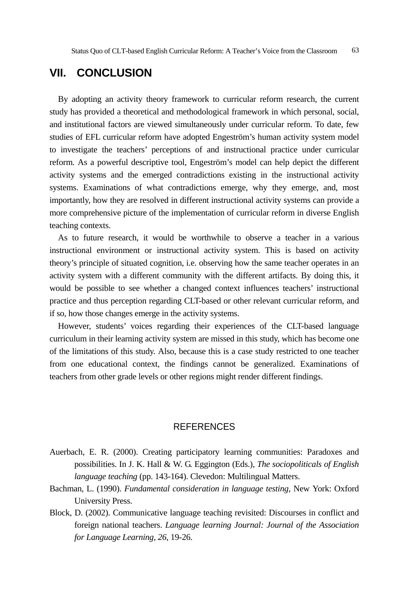# **VII. CONCLUSION**

By adopting an activity theory framework to curricular reform research, the current study has provided a theoretical and methodological framework in which personal, social, and institutional factors are viewed simultaneously under curricular reform. To date, few studies of EFL curricular reform have adopted Engeström's human activity system model to investigate the teachers' perceptions of and instructional practice under curricular reform. As a powerful descriptive tool, Engeström's model can help depict the different activity systems and the emerged contradictions existing in the instructional activity systems. Examinations of what contradictions emerge, why they emerge, and, most importantly, how they are resolved in different instructional activity systems can provide a more comprehensive picture of the implementation of curricular reform in diverse English teaching contexts.

As to future research, it would be worthwhile to observe a teacher in a various instructional environment or instructional activity system. This is based on activity theory's principle of situated cognition, i.e. observing how the same teacher operates in an activity system with a different community with the different artifacts. By doing this, it would be possible to see whether a changed context influences teachers' instructional practice and thus perception regarding CLT-based or other relevant curricular reform, and if so, how those changes emerge in the activity systems.

However, students' voices regarding their experiences of the CLT-based language curriculum in their learning activity system are missed in this study, which has become one of the limitations of this study. Also, because this is a case study restricted to one teacher from one educational context, the findings cannot be generalized. Examinations of teachers from other grade levels or other regions might render different findings.

### **REFERENCES**

- Auerbach, E. R. (2000). Creating participatory learning communities: Paradoxes and possibilities. In J. K. Hall & W. G. Eggington (Eds.), *The sociopoliticals of English language teaching* (pp. 143-164). Clevedon: Multilingual Matters.
- Bachman, L. (1990). *Fundamental consideration in language testing,* New York: Oxford University Press.
- Block, D. (2002). Communicative language teaching revisited: Discourses in conflict and foreign national teachers. *Language learning Journal: Journal of the Association for Language Learning*, *26*, 19-26.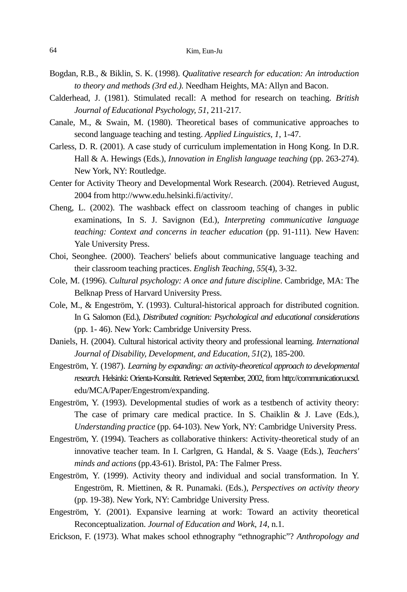- Bogdan, R.B., & Biklin, S. K. (1998). *Qualitative research for education: An introduction to theory and methods (3rd ed.)*. Needham Heights, MA: Allyn and Bacon.
- Calderhead, J. (1981). Stimulated recall: A method for research on teaching. *British Journal of Educational Psychology, 51*, 211-217.
- Canale, M., & Swain, M. (1980). Theoretical bases of communicative approaches to second language teaching and testing. *Applied Linguistics, 1*, 1-47.
- Carless, D. R. (2001). A case study of curriculum implementation in Hong Kong. In D.R. Hall & A. Hewings (Eds.), *Innovation in English language teaching* (pp. 263-274). New York, NY: Routledge.
- Center for Activity Theory and Developmental Work Research. (2004). Retrieved August, 2004 from http://www.edu.helsinki.fi/activity/.
- Cheng, L. (2002). The washback effect on classroom teaching of changes in public examinations, In S. J. Savignon (Ed.), *Interpreting communicative language teaching: Context and concerns in teacher education* (pp. 91-111). New Haven: Yale University Press.
- Choi, Seonghee. (2000). Teachers' beliefs about communicative language teaching and their classroom teaching practices. *English Teaching, 55*(4), 3-32.
- Cole, M. (1996). *Cultural psychology: A once and future discipline*. Cambridge, MA: The Belknap Press of Harvard University Press.
- Cole, M., & Engeström, Y. (1993). Cultural-historical approach for distributed cognition. In G. Salomon (Ed.), *Distributed cognition: Psychological and educational considerations* (pp. 1- 46). New York: Cambridge University Press.
- Daniels, H. (2004). Cultural historical activity theory and professional learning. *International Journal of Disability, Development, and Education, 51*(2), 185-200.
- Engeström, Y. (1987). *Learning by expanding: an activity-theoretical approach to developmental research.* Helsinki: Orienta-Konsultit. Retrieved September, 2002, from http://communication.ucsd. edu/MCA/Paper/Engestrom/expanding.
- Engeström, Y. (1993). Developmental studies of work as a testbench of activity theory: The case of primary care medical practice. In S. Chaiklin & J. Lave (Eds.), *Understanding practice* (pp. 64-103). New York, NY: Cambridge University Press.
- Engeström, Y. (1994). Teachers as collaborative thinkers: Activity-theoretical study of an innovative teacher team. In I. Carlgren, G. Handal, & S. Vaage (Eds.), *Teachers' minds and actions* (pp.43-61). Bristol, PA: The Falmer Press.
- Engeström, Y. (1999). Activity theory and individual and social transformation. In Y. Engeström, R. Miettinen, & R. Punamaki. (Eds.), *Perspectives on activity theory* (pp. 19-38). New York, NY: Cambridge University Press.
- Engeström, Y. (2001). Expansive learning at work: Toward an activity theoretical Reconceptualization. *Journal of Education and Work*, *14*, n.1.
- Erickson, F. (1973). What makes school ethnography "ethnographic"? *Anthropology and*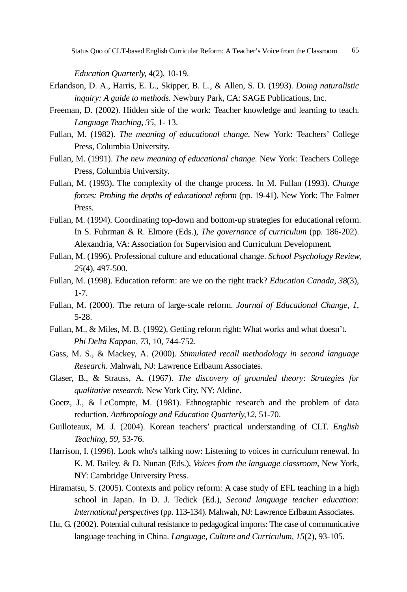*Education Quarterly,* 4(2), 10-19.

- Erlandson, D. A., Harris, E. L., Skipper, B. L., & Allen, S. D. (1993). *Doing naturalistic inquiry: A guide to methods.* Newbury Park, CA: SAGE Publications, Inc.
- Freeman, D. (2002). Hidden side of the work: Teacher knowledge and learning to teach. *Language Teaching, 35*, 1- 13.
- Fullan, M. (1982). *The meaning of educational change*. New York: Teachers' College Press, Columbia University.
- Fullan, M. (1991). *The new meaning of educational change.* New York: Teachers College Press, Columbia University.
- Fullan, M. (1993). The complexity of the change process. In M. Fullan (1993). *Change forces: Probing the depths of educational reform* (pp. 19-41). New York: The Falmer Press.
- Fullan, M. (1994). Coordinating top-down and bottom-up strategies for educational reform. In S. Fuhrman & R. Elmore (Eds.), *The governance of curriculum* (pp. 186-202). Alexandria, VA: Association for Supervision and Curriculum Development.
- Fullan, M. (1996). Professional culture and educational change. *School Psychology Review, 25*(4), 497-500.
- Fullan, M. (1998). Education reform: are we on the right track? *Education Canada, 38*(3), 1-7.
- Fullan, M. (2000). The return of large-scale reform. *Journal of Educational Change, 1*, 5-28.
- Fullan, M., & Miles, M. B. (1992). Getting reform right: What works and what doesn't. *Phi Delta Kappan, 73*, 10, 744-752.
- Gass, M. S., & Mackey, A. (2000). *Stimulated recall methodology in second language Research*. Mahwah, NJ: Lawrence Erlbaum Associates.
- Glaser, B., & Strauss, A. (1967). *The discovery of grounded theory: Strategies for qualitative research.* New York City, NY: Aldine.
- Goetz, J., & LeCompte, M. (1981). Ethnographic research and the problem of data reduction. *Anthropology and Education Quarterly,12*, 51-70.
- Guilloteaux, M. J. (2004). Korean teachers' practical understanding of CLT. *English Teaching, 59*, 53-76.
- Harrison, I. (1996). Look who's talking now: Listening to voices in curriculum renewal. In K. M. Bailey. & D. Nunan (Eds.), *Voices from the language classroom*, New York, NY: Cambridge University Press.
- Hiramatsu, S. (2005). Contexts and policy reform: A case study of EFL teaching in a high school in Japan. In D. J. Tedick (Ed.), *Second language teacher education: International perspectives* (pp. 113-134). Mahwah, NJ: Lawrence Erlbaum Associates.
- Hu, G. (2002). Potential cultural resistance to pedagogical imports: The case of communicative language teaching in China. *Language, Culture and Curriculum, 15*(2), 93-105.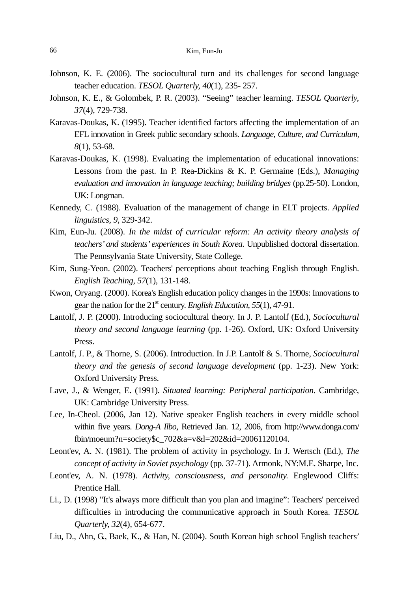- Johnson, K. E. (2006). The sociocultural turn and its challenges for second language teacher education. *TESOL Quarterly, 40*(1), 235- 257.
- Johnson, K. E., & Golombek, P. R. (2003). "Seeing" teacher learning. *TESOL Quarterly, 37*(4), 729-738.
- Karavas-Doukas, K. (1995). Teacher identified factors affecting the implementation of an EFL innovation in Greek public secondary schools. *Language, Culture, and Curriculum, 8*(1), 53-68.
- Karavas-Doukas, K. (1998). Evaluating the implementation of educational innovations: Lessons from the past. In P. Rea-Dickins & K. P. Germaine (Eds.), *Managing evaluation and innovation in language teaching; building bridges* (pp.25-50). London, UK: Longman.
- Kennedy, C. (1988). Evaluation of the management of change in ELT projects. *Applied linguistics, 9*, 329-342.
- Kim, Eun-Ju. (2008). *In the midst of curricular reform: An activity theory analysis of teachers' and students' experiences in South Korea.* Unpublished doctoral dissertation. The Pennsylvania State University, State College.
- Kim, Sung-Yeon. (2002). Teachers' perceptions about teaching English through English. *English Teaching, 57*(1), 131-148.
- Kwon, Oryang. (2000). Korea's English education policy changes in the 1990s: Innovations to gear the nation for the 21st century. *English Education*, *55*(1), 47-91.
- Lantolf, J. P. (2000). Introducing sociocultural theory. In J. P. Lantolf (Ed.), *Sociocultural theory and second language learning* (pp. 1-26). Oxford, UK: Oxford University Press.
- Lantolf, J. P., & Thorne, S. (2006). Introduction. In J.P. Lantolf & S. Thorne, *Sociocultural theory and the genesis of second language development* (pp. 1-23). New York: Oxford University Press.
- Lave, J., & Wenger, E. (1991). *Situated learning: Peripheral participation*. Cambridge, UK: Cambridge University Press.
- Lee, In-Cheol. (2006, Jan 12). Native speaker English teachers in every middle school within five years. *Dong-A Ilbo,* Retrieved Jan. 12, 2006, from http://www.donga.com/ fbin/moeum?n=society\$c\_702&a=v&l=202&id=20061120104.
- Leont'ev, A. N. (1981). The problem of activity in psychology. In J. Wertsch (Ed.), *The concept of activity in Soviet psychology* (pp. 37-71)*.* Armonk, NY:M.E. Sharpe, Inc.
- Leont'ev, A. N. (1978). *Activity, consciousness, and personality.* Englewood Cliffs: Prentice Hall.
- Li., D. (1998) "It's always more difficult than you plan and imagine": Teachers' perceived difficulties in introducing the communicative approach in South Korea. *TESOL Quarterly, 32*(4), 654-677.
- Liu, D., Ahn, G., Baek, K., & Han, N. (2004). South Korean high school English teachers'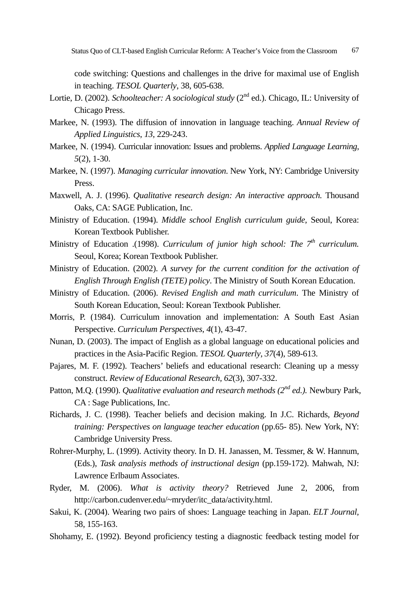code switching: Questions and challenges in the drive for maximal use of English in teaching. *TESOL Quarterly*, 38, 605-638.

- Lortie, D. (2002). *Schoolteacher: A sociological study* (2<sup>nd</sup> ed.). Chicago, IL: University of Chicago Press.
- Markee, N. (1993). The diffusion of innovation in language teaching. *Annual Review of Applied Linguistics*, *13*, 229-243.
- Markee, N. (1994). Curricular innovation: Issues and problems. *Applied Language Learning*, *5*(2), 1-30.
- Markee, N. (1997). *Managing curricular innovation*. New York, NY: Cambridge University Press.
- Maxwell, A. J. (1996). *Qualitative research design: An interactive approach.* Thousand Oaks, CA: SAGE Publication, Inc.
- Ministry of Education. (1994). *Middle school English curriculum guide*, Seoul, Korea: Korean Textbook Publisher.
- Ministry of Education .(1998). *Curriculum of junior high school: The 7th curriculum.* Seoul, Korea; Korean Textbook Publisher.
- Ministry of Education. (2002). *A survey for the current condition for the activation of English Through English (TETE) policy*. The Ministry of South Korean Education.
- Ministry of Education. (2006). *Revised English and math curriculum*. The Ministry of South Korean Education, Seoul: Korean Textbook Publisher.
- Morris, P. (1984). Curriculum innovation and implementation: A South East Asian Perspective. *Curriculum Perspectives*, *4*(1), 43-47.
- Nunan, D. (2003). The impact of English as a global language on educational policies and practices in the Asia-Pacific Region. *TESOL Quarterly*, *37*(4), 589-613.
- Pajares, M. F. (1992). Teachers' beliefs and educational research: Cleaning up a messy construct. *Review of Educational Research, 62*(3), 307-332.
- Patton, M.Q. (1990). *Qualitative evaluation and research methods (2<sup>nd</sup> ed.)*. Newbury Park, CA : Sage Publications, Inc.
- Richards, J. C. (1998). Teacher beliefs and decision making. In J.C. Richards, *Beyond training: Perspectives on language teacher education* (pp.65- 85). New York, NY: Cambridge University Press.
- Rohrer-Murphy, L. (1999). Activity theory. In D. H. Janassen, M. Tessmer, & W. Hannum, (Eds.), *Task analysis methods of instructional design* (pp.159-172). Mahwah, NJ: Lawrence Erlbaum Associates.
- Ryder, M. (2006). *What is activity theory?* Retrieved June 2, 2006, from http://carbon.cudenver.edu/~mryder/itc\_data/activity.html.
- Sakui, K. (2004). Wearing two pairs of shoes: Language teaching in Japan. *ELT Journal,*  58, 155-163.
- Shohamy, E. (1992). Beyond proficiency testing a diagnostic feedback testing model for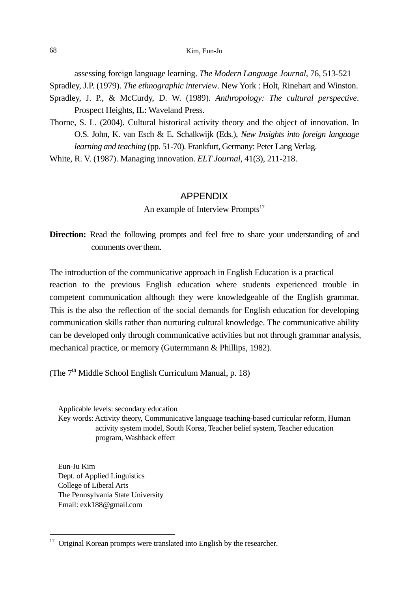assessing foreign language learning. *The Modern Language Journal*, 76, 513-521

Spradley, J.P. (1979). *The ethnographic interview*. New York : Holt, Rinehart and Winston.

- Spradley, J. P., & McCurdy, D. W. (1989). *Anthropology: The cultural perspective*. Prospect Heights, IL: Waveland Press.
- Thorne, S. L. (2004). Cultural historical activity theory and the object of innovation. In O.S. John, K. van Esch & E. Schalkwijk (Eds*.*), *New Insights into foreign language learning and teaching* (pp. 51-70). Frankfurt, Germany: Peter Lang Verlag.

White, R. V. (1987). Managing innovation. *ELT Journal*, 41(3), 211-218.

### APPENDIX

An example of Interview Prompts<sup>17</sup>

**Direction:** Read the following prompts and feel free to share your understanding of and comments over them.

The introduction of the communicative approach in English Education is a practical reaction to the previous English education where students experienced trouble in competent communication although they were knowledgeable of the English grammar. This is the also the reflection of the social demands for English education for developing communication skills rather than nurturing cultural knowledge. The communicative ability can be developed only through communicative activities but not through grammar analysis, mechanical practice, or memory (Gutermmann & Phillips, 1982).

(The  $7<sup>th</sup>$  Middle School English Curriculum Manual, p. 18)

Applicable levels: secondary education Key words: Activity theory, Communicative language teaching-based curricular reform, Human activity system model, South Korea, Teacher belief system, Teacher education program, Washback effect

Eun-Ju Kim Dept. of Applied Linguistics College of Liberal Arts The Pennsylvania State University Email: exk188@gmail.com

-

 $17$  Original Korean prompts were translated into English by the researcher.